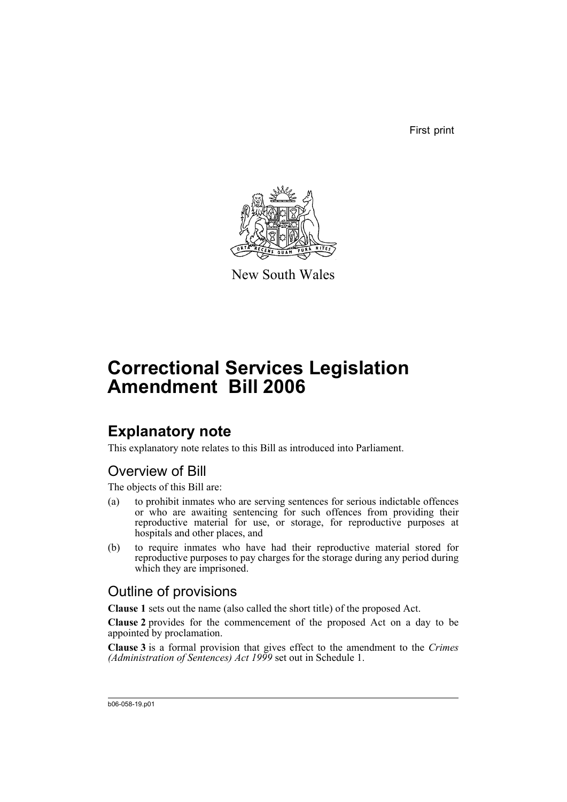First print



New South Wales

# **Correctional Services Legislation Amendment Bill 2006**

## **Explanatory note**

This explanatory note relates to this Bill as introduced into Parliament.

### Overview of Bill

The objects of this Bill are:

- (a) to prohibit inmates who are serving sentences for serious indictable offences or who are awaiting sentencing for such offences from providing their reproductive material for use, or storage, for reproductive purposes at hospitals and other places, and
- (b) to require inmates who have had their reproductive material stored for reproductive purposes to pay charges for the storage during any period during which they are imprisoned.

### Outline of provisions

**Clause 1** sets out the name (also called the short title) of the proposed Act.

**Clause 2** provides for the commencement of the proposed Act on a day to be appointed by proclamation.

**Clause 3** is a formal provision that gives effect to the amendment to the *Crimes (Administration of Sentences) Act 1999* set out in Schedule 1.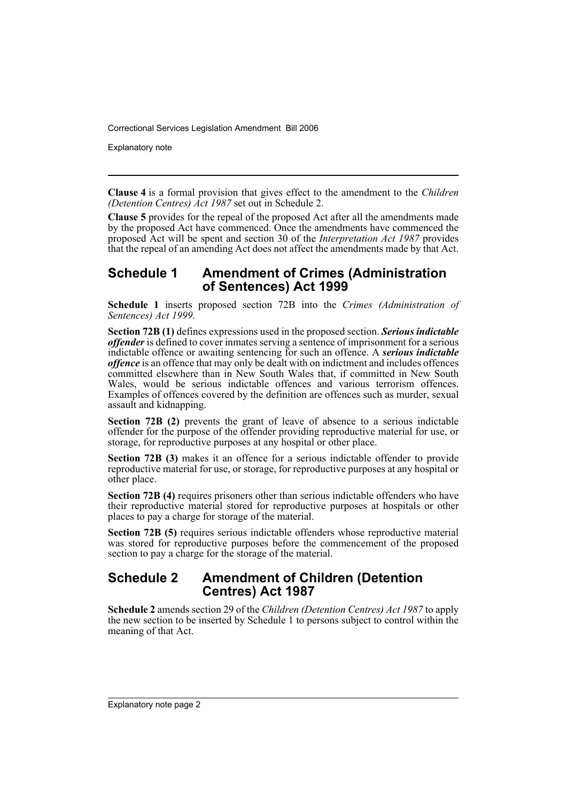Explanatory note

**Clause 4** is a formal provision that gives effect to the amendment to the *Children (Detention Centres) Act 1987* set out in Schedule 2.

**Clause 5** provides for the repeal of the proposed Act after all the amendments made by the proposed Act have commenced. Once the amendments have commenced the proposed Act will be spent and section 30 of the *Interpretation Act 1987* provides that the repeal of an amending Act does not affect the amendments made by that Act.

#### **Schedule 1 Amendment of Crimes (Administration of Sentences) Act 1999**

**Schedule 1** inserts proposed section 72B into the *Crimes (Administration of Sentences) Act 1999*.

**Section 72B (1)** defines expressions used in the proposed section. *Serious indictable offender* is defined to cover inmates serving a sentence of imprisonment for a serious indictable offence or awaiting sentencing for such an offence. A *serious indictable offence* is an offence that may only be dealt with on indictment and includes offences committed elsewhere than in New South Wales that, if committed in New South Wales, would be serious indictable offences and various terrorism offences. Examples of offences covered by the definition are offences such as murder, sexual assault and kidnapping.

**Section 72B (2)** prevents the grant of leave of absence to a serious indictable offender for the purpose of the offender providing reproductive material for use, or storage, for reproductive purposes at any hospital or other place.

**Section 72B (3)** makes it an offence for a serious indictable offender to provide reproductive material for use, or storage, for reproductive purposes at any hospital or other place.

**Section 72B (4)** requires prisoners other than serious indictable offenders who have their reproductive material stored for reproductive purposes at hospitals or other places to pay a charge for storage of the material.

**Section 72B (5)** requires serious indictable offenders whose reproductive material was stored for reproductive purposes before the commencement of the proposed section to pay a charge for the storage of the material.

#### **Schedule 2 Amendment of Children (Detention Centres) Act 1987**

**Schedule 2** amends section 29 of the *Children (Detention Centres) Act 1987* to apply the new section to be inserted by Schedule 1 to persons subject to control within the meaning of that Act.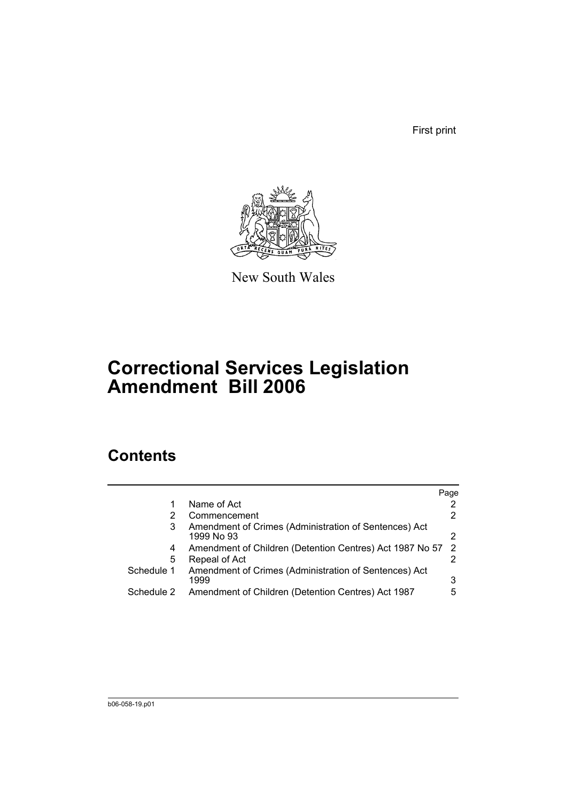First print



New South Wales

# **Correctional Services Legislation Amendment Bill 2006**

### **Contents**

|            |                                                                     | Page |
|------------|---------------------------------------------------------------------|------|
|            | Name of Act                                                         |      |
|            | Commencement                                                        |      |
| 3          | Amendment of Crimes (Administration of Sentences) Act<br>1999 No 93 | 2    |
| 4          | Amendment of Children (Detention Centres) Act 1987 No 57            | 2    |
| 5          | Repeal of Act                                                       |      |
| Schedule 1 | Amendment of Crimes (Administration of Sentences) Act<br>1999       | 3    |
| Schedule 2 | Amendment of Children (Detention Centres) Act 1987                  | 5    |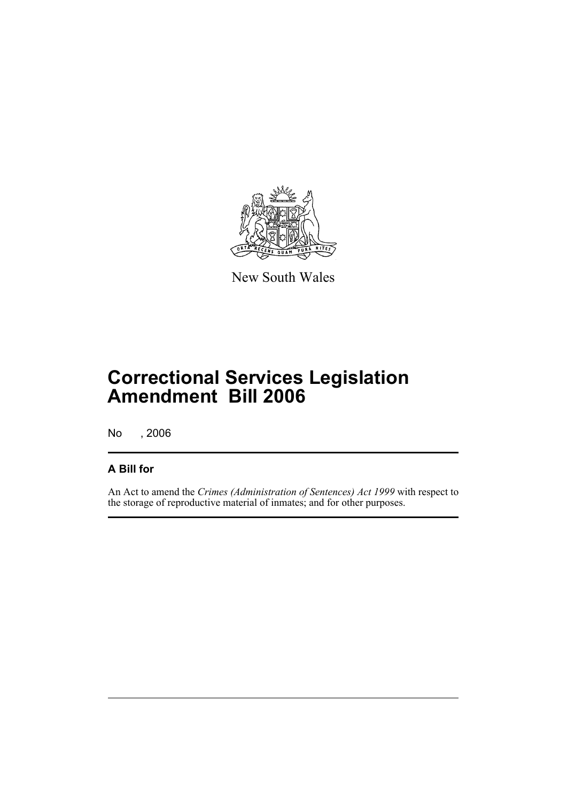

New South Wales

## **Correctional Services Legislation Amendment Bill 2006**

No , 2006

#### **A Bill for**

An Act to amend the *Crimes (Administration of Sentences) Act 1999* with respect to the storage of reproductive material of inmates; and for other purposes.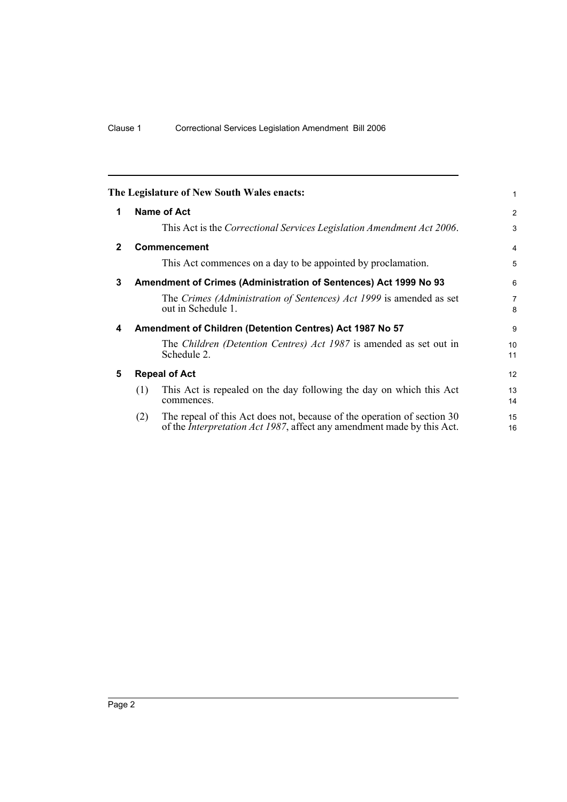<span id="page-5-4"></span><span id="page-5-3"></span><span id="page-5-2"></span><span id="page-5-1"></span><span id="page-5-0"></span>

| 2                   |
|---------------------|
|                     |
| 3                   |
| 4                   |
| 5                   |
| 6                   |
| $\overline{7}$<br>8 |
| 9                   |
| 10<br>11            |
| 12                  |
| 13<br>14            |
| 15<br>16            |
|                     |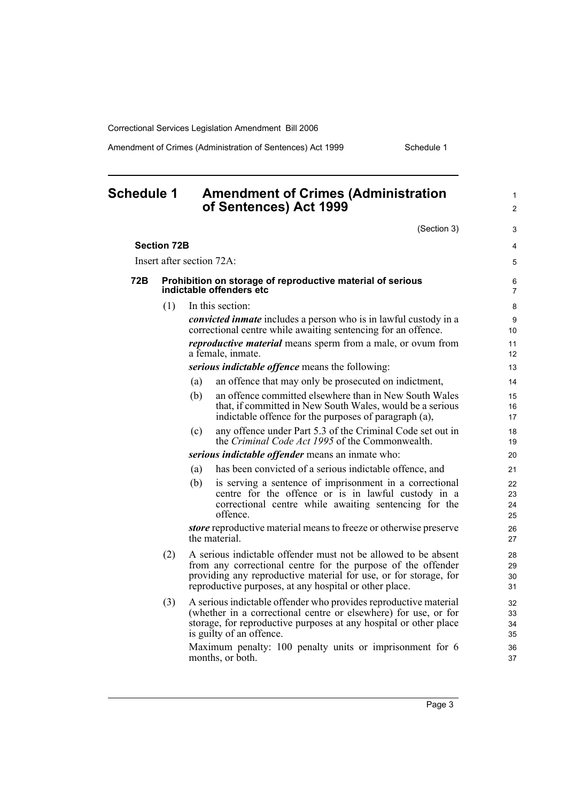Amendment of Crimes (Administration of Sentences) Act 1999 Schedule 1

<span id="page-6-0"></span>

| <b>Schedule 1</b> |                    | <b>Amendment of Crimes (Administration</b><br>of Sentences) Act 1999                                                                                                                                                                                         | $\mathbf{1}$<br>$\overline{2}$ |
|-------------------|--------------------|--------------------------------------------------------------------------------------------------------------------------------------------------------------------------------------------------------------------------------------------------------------|--------------------------------|
|                   |                    | (Section 3)                                                                                                                                                                                                                                                  | 3                              |
|                   | <b>Section 72B</b> |                                                                                                                                                                                                                                                              | $\overline{4}$                 |
|                   |                    | Insert after section 72A:                                                                                                                                                                                                                                    | 5                              |
| 72B               |                    | Prohibition on storage of reproductive material of serious<br>indictable offenders etc                                                                                                                                                                       | 6<br>7                         |
|                   | (1)                | In this section:                                                                                                                                                                                                                                             | 8                              |
|                   |                    | <i>convicted inmate</i> includes a person who is in lawful custody in a<br>correctional centre while awaiting sentencing for an offence.                                                                                                                     | 9<br>10                        |
|                   |                    | reproductive material means sperm from a male, or ovum from<br>a female, inmate.                                                                                                                                                                             | 11<br>12                       |
|                   |                    | serious indictable offence means the following:                                                                                                                                                                                                              | 13                             |
|                   |                    | an offence that may only be prosecuted on indictment,<br>(a)                                                                                                                                                                                                 | 14                             |
|                   |                    | an offence committed elsewhere than in New South Wales<br>(b)<br>that, if committed in New South Wales, would be a serious<br>indictable offence for the purposes of paragraph (a),                                                                          | 15<br>16<br>17                 |
|                   |                    | any offence under Part 5.3 of the Criminal Code set out in<br>(c)<br>the Criminal Code Act 1995 of the Commonwealth.                                                                                                                                         | 18<br>19                       |
|                   |                    | serious indictable offender means an inmate who:                                                                                                                                                                                                             | 20                             |
|                   |                    | has been convicted of a serious indictable offence, and<br>(a)                                                                                                                                                                                               | 21                             |
|                   |                    | is serving a sentence of imprisonment in a correctional<br>(b)<br>centre for the offence or is in lawful custody in a<br>correctional centre while awaiting sentencing for the<br>offence.                                                                   | 22<br>23<br>24<br>25           |
|                   |                    | <i>store</i> reproductive material means to freeze or otherwise preserve<br>the material.                                                                                                                                                                    | 26<br>27                       |
|                   | (2)                | A serious indictable offender must not be allowed to be absent<br>from any correctional centre for the purpose of the offender<br>providing any reproductive material for use, or for storage, for<br>reproductive purposes, at any hospital or other place. | 28<br>29<br>30<br>31           |
|                   | (3)                | A serious indictable offender who provides reproductive material<br>(whether in a correctional centre or elsewhere) for use, or for<br>storage, for reproductive purposes at any hospital or other place<br>is guilty of an offence.                         | 32<br>33<br>34<br>35           |
|                   |                    | Maximum penalty: 100 penalty units or imprisonment for 6<br>months, or both.                                                                                                                                                                                 | 36<br>37                       |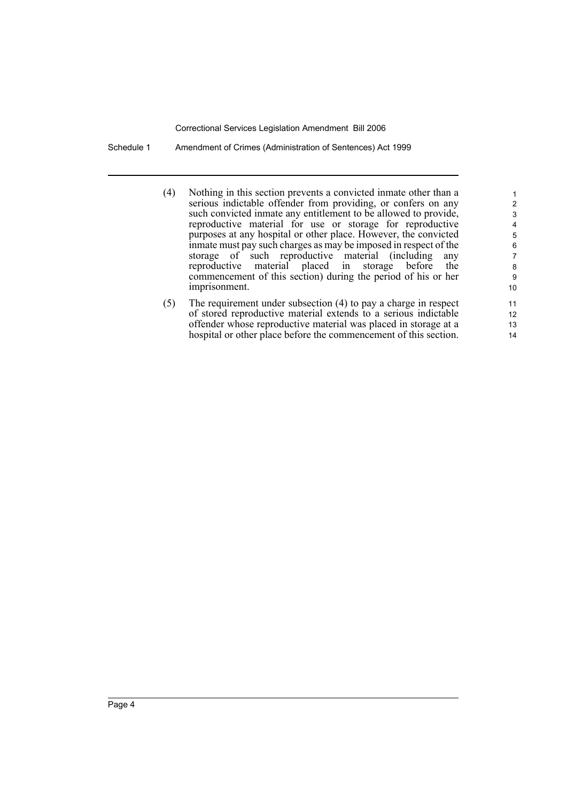Schedule 1 Amendment of Crimes (Administration of Sentences) Act 1999

(4) Nothing in this section prevents a convicted inmate other than a serious indictable offender from providing, or confers on any such convicted inmate any entitlement to be allowed to provide, reproductive material for use or storage for reproductive purposes at any hospital or other place. However, the convicted inmate must pay such charges as may be imposed in respect of the storage of such reproductive material (including any reproductive material placed in storage before the commencement of this section) during the period of his or her imprisonment.

(5) The requirement under subsection (4) to pay a charge in respect of stored reproductive material extends to a serious indictable offender whose reproductive material was placed in storage at a hospital or other place before the commencement of this section.